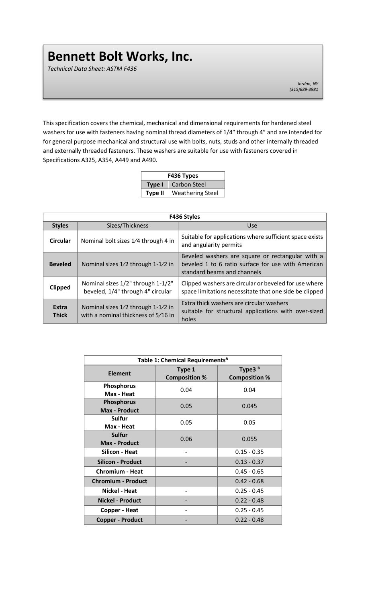*Technical Data Sheet: ASTM F436*

*Jordan, NY (315)689-3981*

This specification covers the chemical, mechanical and dimensional requirements for hardened steel washers for use with fasteners having nominal thread diameters of 1/4″ through 4″ and are intended for for general purpose mechanical and structural use with bolts, nuts, studs and other internally threaded and externally threaded fasteners. These washers are suitable for use with fasteners covered in Specifications A325, A354, A449 and A490.

| F436 Types     |                         |  |  |  |
|----------------|-------------------------|--|--|--|
| Type I         | Carbon Steel            |  |  |  |
| <b>Type II</b> | <b>Weathering Steel</b> |  |  |  |

| F436 Styles           |                                                                           |                                                                                                                                       |  |  |  |
|-----------------------|---------------------------------------------------------------------------|---------------------------------------------------------------------------------------------------------------------------------------|--|--|--|
| <b>Styles</b>         | Sizes/Thickness                                                           | Use                                                                                                                                   |  |  |  |
| <b>Circular</b>       | Nominal bolt sizes 1/4 through 4 in                                       | Suitable for applications where sufficient space exists<br>and angularity permits                                                     |  |  |  |
| <b>Beveled</b>        | Nominal sizes 1/2 through 1-1/2 in                                        | Beveled washers are square or rectangular with a<br>beveled 1 to 6 ratio surface for use with American<br>standard beams and channels |  |  |  |
| <b>Clipped</b>        | Nominal sizes 1/2" through 1-1/2"<br>beveled, 1/4" through 4" circular    | Clipped washers are circular or beveled for use where<br>space limitations necessitate that one side be clipped                       |  |  |  |
| Extra<br><b>Thick</b> | Nominal sizes 1/2 through 1-1/2 in<br>with a nominal thickness of 5/16 in | Extra thick washers are circular washers<br>suitable for structural applications with over-sized<br>holes                             |  |  |  |

| Table 1: Chemical Requirements <sup>A</sup> |                                |                                            |  |  |
|---------------------------------------------|--------------------------------|--------------------------------------------|--|--|
| Element                                     | Type 1<br><b>Composition %</b> | Type3 <sup>B</sup><br><b>Composition %</b> |  |  |
| <b>Phosphorus</b><br>Max - Heat             | 0.04                           | 0.04                                       |  |  |
| <b>Phosphorus</b><br><b>Max - Product</b>   | 0.05                           | 0.045                                      |  |  |
| Sulfur<br>Max - Heat                        | 0.05                           | 0.05                                       |  |  |
| <b>Sulfur</b><br><b>Max - Product</b>       | 0.06                           | 0.055                                      |  |  |
| Silicon - Heat                              |                                | $0.15 - 0.35$                              |  |  |
| <b>Silicon - Product</b>                    |                                | $0.13 - 0.37$                              |  |  |
| <b>Chromium - Heat</b>                      |                                | $0.45 - 0.65$                              |  |  |
| <b>Chromium - Product</b>                   |                                | $0.42 - 0.68$                              |  |  |
| Nickel - Heat                               |                                | $0.25 - 0.45$                              |  |  |
| <b>Nickel - Product</b>                     |                                | $0.22 - 0.48$                              |  |  |
| <b>Copper - Heat</b>                        | $0.25 - 0.45$<br>-             |                                            |  |  |
| <b>Copper - Product</b>                     |                                | $0.22 - 0.48$                              |  |  |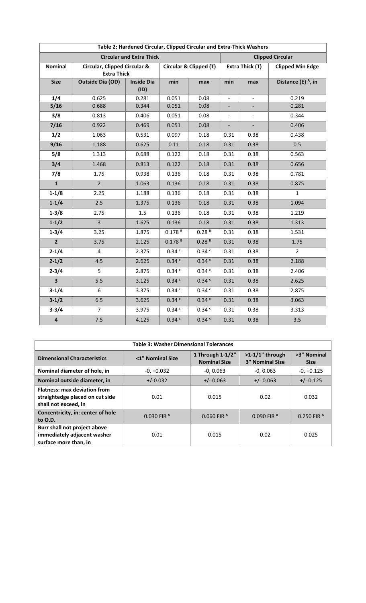| Table 2: Hardened Circular, Clipped Circular and Extra-Thick Washers |                                                               |                           |                        |                         |                          |                          |                                |
|----------------------------------------------------------------------|---------------------------------------------------------------|---------------------------|------------------------|-------------------------|--------------------------|--------------------------|--------------------------------|
| <b>Circular and Extra Thick</b>                                      |                                                               |                           |                        | <b>Clipped Circular</b> |                          |                          |                                |
| <b>Nominal</b>                                                       | <b>Circular, Clipped Circular &amp;</b><br><b>Extra Thick</b> |                           | Circular & Clipped (T) |                         | Extra Thick (T)          |                          | <b>Clipped Min Edge</b>        |
| <b>Size</b>                                                          | <b>Outside Dia (OD)</b>                                       | <b>Inside Dia</b><br>(ID) | min                    | max                     | min                      | max                      | Distance (E) <sup>A</sup> , in |
| 1/4                                                                  | 0.625                                                         | 0.281                     | 0.051                  | 0.08                    | $\overline{\phantom{m}}$ | $\equiv$                 | 0.219                          |
| 5/16                                                                 | 0.688                                                         | 0.344                     | 0.051                  | 0.08                    |                          |                          | 0.281                          |
| 3/8                                                                  | 0.813                                                         | 0.406                     | 0.051                  | 0.08                    | $\overline{\phantom{a}}$ | $\overline{\phantom{a}}$ | 0.344                          |
| 7/16                                                                 | 0.922                                                         | 0.469                     | 0.051                  | 0.08                    |                          |                          | 0.406                          |
| 1/2                                                                  | 1.063                                                         | 0.531                     | 0.097                  | 0.18                    | 0.31                     | 0.38                     | 0.438                          |
| 9/16                                                                 | 1.188                                                         | 0.625                     | 0.11                   | 0.18                    | 0.31                     | 0.38                     | 0.5                            |
| 5/8                                                                  | 1.313                                                         | 0.688                     | 0.122                  | 0.18                    | 0.31                     | 0.38                     | 0.563                          |
| 3/4                                                                  | 1.468                                                         | 0.813                     | 0.122                  | 0.18                    | 0.31                     | 0.38                     | 0.656                          |
| 7/8                                                                  | 1.75                                                          | 0.938                     | 0.136                  | 0.18                    | 0.31                     | 0.38                     | 0.781                          |
| $\mathbf{1}$                                                         | $\overline{2}$                                                | 1.063                     | 0.136                  | 0.18                    | 0.31                     | 0.38                     | 0.875                          |
| $1-1/8$                                                              | 2.25                                                          | 1.188                     | 0.136                  | 0.18                    | 0.31                     | 0.38                     | $\mathbf{1}$                   |
| $1 - 1/4$                                                            | 2.5                                                           | 1.375                     | 0.136                  | 0.18                    | 0.31                     | 0.38                     | 1.094                          |
| $1 - 3/8$                                                            | 2.75                                                          | 1.5                       | 0.136                  | 0.18                    | 0.31                     | 0.38                     | 1.219                          |
| $1 - 1/2$                                                            | $\overline{3}$                                                | 1.625                     | 0.136                  | 0.18                    | 0.31                     | 0.38                     | 1.313                          |
| $1 - 3/4$                                                            | 3.25                                                          | 1.875                     | $0.178$ <sup>B</sup>   | 0.28 <sup>B</sup>       | 0.31                     | 0.38                     | 1.531                          |
| $\overline{2}$                                                       | 3.75                                                          | 2.125                     | $0.178$ <sup>B</sup>   | 0.28 <sup>B</sup>       | 0.31                     | 0.38                     | 1.75                           |
| $2 - 1/4$                                                            | 4                                                             | 2.375                     | 0.34 <sup>c</sup>      | 0.34C                   | 0.31                     | 0.38                     | $\overline{2}$                 |
| $2 - 1/2$                                                            | 4.5                                                           | 2.625                     | 0.34 c                 | 0.34 c                  | 0.31                     | 0.38                     | 2.188                          |
| $2 - 3/4$                                                            | 5                                                             | 2.875                     | 0.34 <sup>c</sup>      | $0.34$ $\degree$        | 0.31                     | 0.38                     | 2.406                          |
| $\overline{\mathbf{3}}$                                              | 5.5                                                           | 3.125                     | 0.34 <sup>c</sup>      | 0.34 c                  | 0.31                     | 0.38                     | 2.625                          |
| $3-1/4$                                                              | 6                                                             | 3.375                     | 0.34 <sup>c</sup>      | 0.34 <sup>c</sup>       | 0.31                     | 0.38                     | 2.875                          |
| $3-1/2$                                                              | 6.5                                                           | 3.625                     | 0.34 <sup>c</sup>      | 0.34 <sup>c</sup>       | 0.31                     | 0.38                     | 3.063                          |
| $3 - 3/4$                                                            | $\overline{7}$                                                | 3.975                     | 0.34 <sup>c</sup>      | 0.34 <sup>c</sup>       | 0.31                     | 0.38                     | 3.313                          |
| $\pmb{4}$                                                            | 7.5                                                           | 4.125                     | 0.34 <sup>c</sup>      | 0.34c                   | 0.31                     | 0.38                     | 3.5                            |

| <b>Table 3: Washer Dimensional Tolerances</b>                                                  |                             |                                            |                                              |                            |  |
|------------------------------------------------------------------------------------------------|-----------------------------|--------------------------------------------|----------------------------------------------|----------------------------|--|
| <b>Dimensional Characteristics</b>                                                             | <1" Nominal Size            | 1 Through $1-1/2$ "<br><b>Nominal Size</b> | $>1-1/1$ " through<br><b>3" Nominal Size</b> | >3" Nominal<br><b>Size</b> |  |
| Nominal diameter of hole, in                                                                   | $-0, +0.032$<br>$-0, 0.063$ |                                            | $-0, 0.063$                                  | $-0, +0.125$               |  |
| Nominal outside diameter, in                                                                   | $+/-0.032$                  | $+/- 0.063$                                | $+/- 0.063$                                  | $+/- 0.125$                |  |
| <b>Flatness: max deviation from</b><br>straightedge placed on cut side<br>shall not exceed, in | 0.01                        | 0.015                                      | 0.02                                         | 0.032                      |  |
| Concentricity, in: center of hole<br>to 0.D.                                                   | $0.030$ FIR $^{\text{A}}$   | $0.060$ FIR $^{\text{A}}$                  | $0.090$ FIR $^{\text{A}}$                    | $0.250$ FIR $^{\text{A}}$  |  |
| Burr shall not project above<br>immediately adjacent washer<br>surface more than, in           | 0.01                        | 0.015                                      | 0.02                                         | 0.025                      |  |